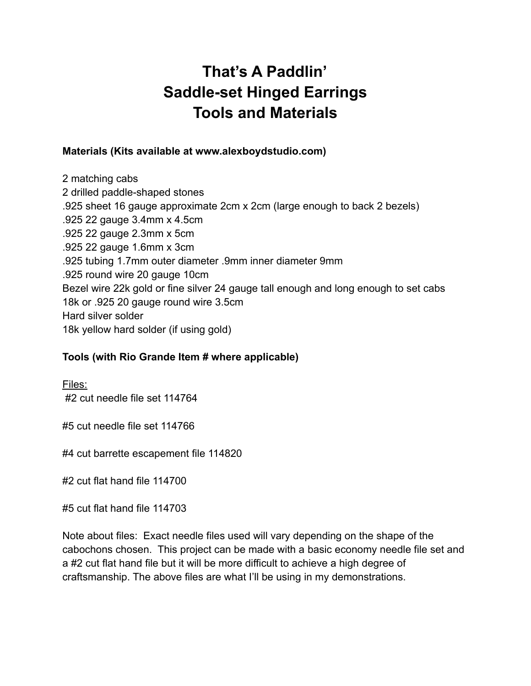## **That's A Paddlin' Saddle-set Hinged Earrings Tools and Materials**

## **Materials (Kits available at www.alexboydstudio.com)**

2 matching cabs 2 drilled paddle-shaped stones .925 sheet 16 gauge approximate 2cm x 2cm (large enough to back 2 bezels) .925 22 gauge 3.4mm x 4.5cm .925 22 gauge 2.3mm x 5cm .925 22 gauge 1.6mm x 3cm .925 tubing 1.7mm outer diameter .9mm inner diameter 9mm .925 round wire 20 gauge 10cm Bezel wire 22k gold or fine silver 24 gauge tall enough and long enough to set cabs 18k or .925 20 gauge round wire 3.5cm Hard silver solder 18k yellow hard solder (if using gold)

## **Tools (with Rio Grande Item # where applicable)**

Files: #2 cut needle file set 114764

#5 cut needle file set 114766

#4 cut barrette escapement file 114820

#2 cut flat hand file 114700

#5 cut flat hand file 114703

Note about files: Exact needle files used will vary depending on the shape of the cabochons chosen. This project can be made with a basic economy needle file set and a #2 cut flat hand file but it will be more difficult to achieve a high degree of craftsmanship. The above files are what I'll be using in my demonstrations.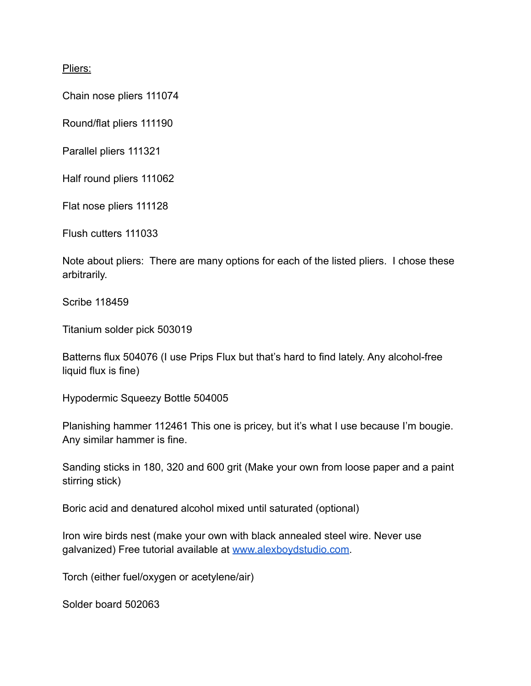Pliers:

Chain nose pliers 111074

Round/flat pliers 111190

Parallel pliers 111321

Half round pliers 111062

Flat nose pliers 111128

Flush cutters 111033

Note about pliers: There are many options for each of the listed pliers. I chose these arbitrarily.

Scribe 118459

Titanium solder pick 503019

Batterns flux 504076 (I use Prips Flux but that's hard to find lately. Any alcohol-free liquid flux is fine)

Hypodermic Squeezy Bottle 504005

Planishing hammer 112461 This one is pricey, but it's what I use because I'm bougie. Any similar hammer is fine.

Sanding sticks in 180, 320 and 600 grit (Make your own from loose paper and a paint stirring stick)

Boric acid and denatured alcohol mixed until saturated (optional)

Iron wire birds nest (make your own with black annealed steel wire. Never use galvanized) Free tutorial available at [www.alexboydstudio.com.](http://www.alexboydstudio.com)

Torch (either fuel/oxygen or acetylene/air)

Solder board 502063